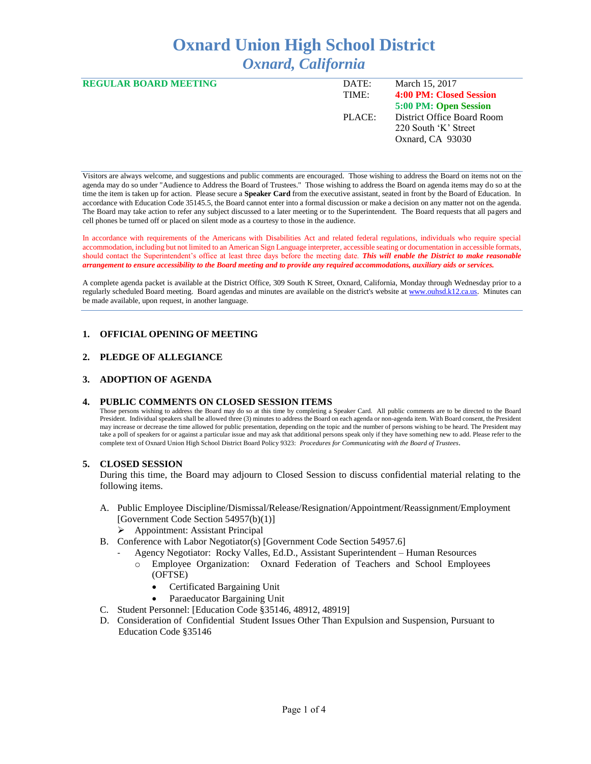# **Oxnard Union High School District** *Oxnard, California*

| <b>REGULAR BOARD MEETING</b> | DATE:  | March 15, 2017             |
|------------------------------|--------|----------------------------|
|                              | TIME:  | 4:00 PM: Closed Session    |
|                              |        | 5:00 PM: Open Session      |
|                              | PLACE: | District Office Board Room |
|                              |        | 220 South 'K' Street       |
|                              |        | Oxnard, CA 93030           |
|                              |        |                            |

Visitors are always welcome, and suggestions and public comments are encouraged. Those wishing to address the Board on items not on the agenda may do so under "Audience to Address the Board of Trustees." Those wishing to address the Board on agenda items may do so at the time the item is taken up for action. Please secure a **Speaker Card** from the executive assistant, seated in front by the Board of Education. In accordance with Education Code 35145.5, the Board cannot enter into a formal discussion or make a decision on any matter not on the agenda. The Board may take action to refer any subject discussed to a later meeting or to the Superintendent. The Board requests that all pagers and cell phones be turned off or placed on silent mode as a courtesy to those in the audience.

In accordance with requirements of the Americans with Disabilities Act and related federal regulations, individuals who require special accommodation, including but not limited to an American Sign Language interpreter, accessible seating or documentation in accessible formats, should contact the Superintendent's office at least three days before the meeting date. *This will enable the District to make reasonable arrangement to ensure accessibility to the Board meeting and to provide any required accommodations, auxiliary aids or services.* 

A complete agenda packet is available at the District Office, 309 South K Street, Oxnard, California, Monday through Wednesday prior to a regularly scheduled Board meeting. Board agendas and minutes are available on the district's website a[t www.ouhsd.k12.ca.us.](http://www.ouhsd.k12.ca.us/)Minutes can be made available, upon request, in another language.

## **1. OFFICIAL OPENING OF MEETING**

## **2. PLEDGE OF ALLEGIANCE**

## **3. ADOPTION OF AGENDA**

#### **4. PUBLIC COMMENTS ON CLOSED SESSION ITEMS**

Those persons wishing to address the Board may do so at this time by completing a Speaker Card. All public comments are to be directed to the Board President. Individual speakers shall be allowed three (3) minutes to address the Board on each agenda or non-agenda item. With Board consent, the President may increase or decrease the time allowed for public presentation, depending on the topic and the number of persons wishing to be heard. The President may take a poll of speakers for or against a particular issue and may ask that additional persons speak only if they have something new to add. Please refer to the complete text of Oxnard Union High School District Board Policy 9323: *Procedures for Communicating with the Board of Trustees*.

## **5. CLOSED SESSION**

During this time, the Board may adjourn to Closed Session to discuss confidential material relating to the following items.

- A. Public Employee Discipline/Dismissal/Release/Resignation/Appointment/Reassignment/Employment [Government Code Section 54957(b)(1)]
	- Appointment: Assistant Principal
- B. Conference with Labor Negotiator(s) [Government Code Section 54957.6]
	- Agency Negotiator: Rocky Valles, Ed.D., Assistant Superintendent Human Resources
		- o Employee Organization: Oxnard Federation of Teachers and School Employees (OFTSE)
			- Certificated Bargaining Unit
			- Paraeducator Bargaining Unit
- C. Student Personnel: [Education Code §35146, 48912, 48919]
- D. Consideration of Confidential Student Issues Other Than Expulsion and Suspension, Pursuant to Education Code §35146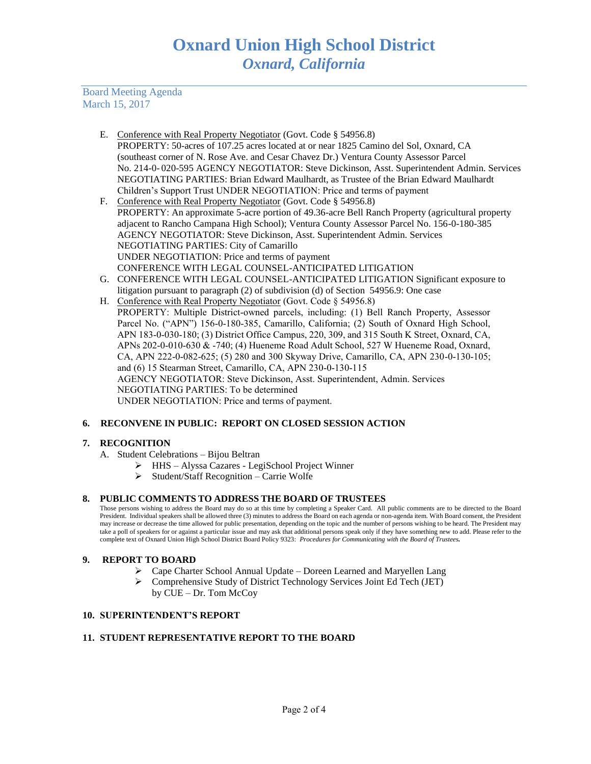Board Meeting Agenda March 15, 2017

- E. Conference with Real Property Negotiator (Govt. Code § 54956.8) PROPERTY: 50-acres of 107.25 acres located at or near 1825 Camino del Sol, Oxnard, CA (southeast corner of N. Rose Ave. and Cesar Chavez Dr.) Ventura County Assessor Parcel No. 214-0- 020-595 AGENCY NEGOTIATOR: Steve Dickinson, Asst. Superintendent Admin. Services NEGOTIATING PARTIES: Brian Edward Maulhardt, as Trustee of the Brian Edward Maulhardt Children's Support Trust UNDER NEGOTIATION: Price and terms of payment
- F. Conference with Real Property Negotiator (Govt. Code § 54956.8) PROPERTY: An approximate 5-acre portion of 49.36-acre Bell Ranch Property (agricultural property adjacent to Rancho Campana High School); Ventura County Assessor Parcel No. 156-0-180-385 AGENCY NEGOTIATOR: Steve Dickinson, Asst. Superintendent Admin. Services NEGOTIATING PARTIES: City of Camarillo UNDER NEGOTIATION: Price and terms of payment CONFERENCE WITH LEGAL COUNSEL-ANTICIPATED LITIGATION
- G. CONFERENCE WITH LEGAL COUNSEL-ANTICIPATED LITIGATION Significant exposure to litigation pursuant to paragraph (2) of subdivision (d) of Section 54956.9: One case
- H. Conference with Real Property Negotiator (Govt. Code § 54956.8) PROPERTY: Multiple District-owned parcels, including: (1) Bell Ranch Property, Assessor Parcel No. ("APN") 156-0-180-385, Camarillo, California; (2) South of Oxnard High School, APN 183-0-030-180; (3) District Office Campus, 220, 309, and 315 South K Street, Oxnard, CA, APNs 202-0-010-630 & -740; (4) Hueneme Road Adult School, 527 W Hueneme Road, Oxnard, CA, APN 222-0-082-625; (5) 280 and 300 Skyway Drive, Camarillo, CA, APN 230-0-130-105; and (6) 15 Stearman Street, Camarillo, CA, APN 230-0-130-115 AGENCY NEGOTIATOR: Steve Dickinson, Asst. Superintendent, Admin. Services NEGOTIATING PARTIES: To be determined UNDER NEGOTIATION: Price and terms of payment.

# **6. RECONVENE IN PUBLIC: REPORT ON CLOSED SESSION ACTION**

# **7. RECOGNITION**

- A. Student Celebrations Bijou Beltran
	- HHS Alyssa Cazares LegiSchool Project Winner
	- $\triangleright$  Student/Staff Recognition Carrie Wolfe

## **8. PUBLIC COMMENTS TO ADDRESS THE BOARD OF TRUSTEES**

Those persons wishing to address the Board may do so at this time by completing a Speaker Card. All public comments are to be directed to the Board President. Individual speakers shall be allowed three (3) minutes to address the Board on each agenda or non-agenda item. With Board consent, the President may increase or decrease the time allowed for public presentation, depending on the topic and the number of persons wishing to be heard. The President may take a poll of speakers for or against a particular issue and may ask that additional persons speak only if they have something new to add. Please refer to the complete text of Oxnard Union High School District Board Policy 9323: *Procedures for Communicating with the Board of Trustees.*

# **9. REPORT TO BOARD**

- $\triangleright$  Cape Charter School Annual Update Doreen Learned and Maryellen Lang
- Comprehensive Study of District Technology Services Joint Ed Tech (JET) by CUE – Dr. Tom McCoy

# **10. SUPERINTENDENT'S REPORT**

# **11. STUDENT REPRESENTATIVE REPORT TO THE BOARD**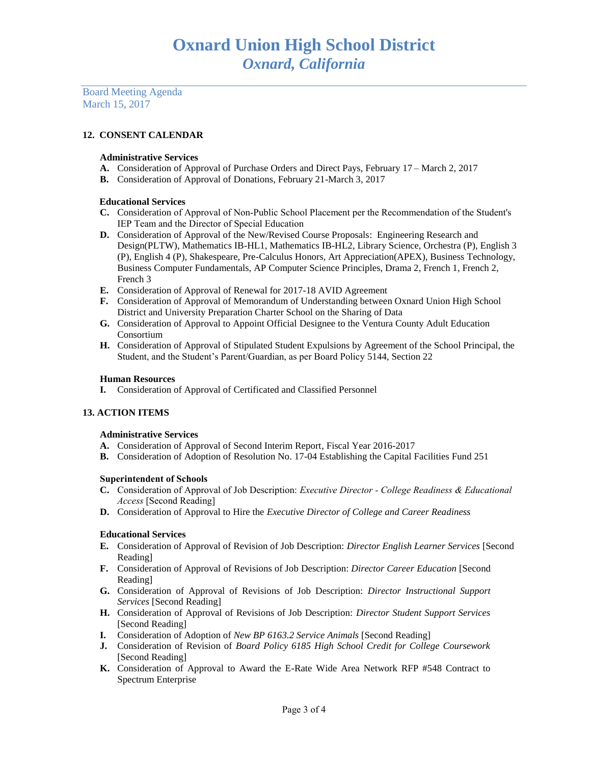Board Meeting Agenda March 15, 2017

# **12. CONSENT CALENDAR**

### **Administrative Services**

- **A.** Consideration of Approval of Purchase Orders and Direct Pays, February 17 March 2, 2017
- **B.** Consideration of Approval of Donations, February 21-March 3, 2017

#### **Educational Services**

- **C.** Consideration of Approval of Non-Public School Placement per the Recommendation of the Student's IEP Team and the Director of Special Education
- **D.** Consideration of Approval of the New/Revised Course Proposals: Engineering Research and Design(PLTW), Mathematics IB-HL1, Mathematics IB-HL2, Library Science, Orchestra (P), English 3 (P), English 4 (P), Shakespeare, Pre-Calculus Honors, Art Appreciation(APEX), Business Technology, Business Computer Fundamentals, AP Computer Science Principles, Drama 2, French 1, French 2, French 3
- **E.** Consideration of Approval of Renewal for 2017-18 AVID Agreement
- **F.** Consideration of Approval of Memorandum of Understanding between Oxnard Union High School District and University Preparation Charter School on the Sharing of Data
- **G.** Consideration of Approval to Appoint Official Designee to the Ventura County Adult Education Consortium
- **H.** Consideration of Approval of Stipulated Student Expulsions by Agreement of the School Principal, the Student, and the Student's Parent/Guardian, as per Board Policy 5144, Section 22

#### **Human Resources**

**I.** Consideration of Approval of Certificated and Classified Personnel

## **13. ACTION ITEMS**

#### **Administrative Services**

- **A.** Consideration of Approval of Second Interim Report, Fiscal Year 2016-2017
- **B.** Consideration of Adoption of Resolution No. 17-04 Establishing the Capital Facilities Fund 251

#### **Superintendent of Schools**

- **C.** Consideration of Approval of Job Description: *Executive Director - College Readiness & Educational Access* [Second Reading]
- **D.** Consideration of Approval to Hire the *Executive Director of College and Career Readiness*

## **Educational Services**

- **E.** Consideration of Approval of Revision of Job Description: *Director English Learner Services* [Second Reading]
- **F.** Consideration of Approval of Revisions of Job Description: *Director Career Education* [Second Reading]
- **G.** Consideration of Approval of Revisions of Job Description: *Director Instructional Support Services* [Second Reading]
- **H.** Consideration of Approval of Revisions of Job Description: *Director Student Support Services* [Second Reading]
- **I.** Consideration of Adoption of *New BP 6163.2 Service Animals* [Second Reading]
- **J.** Consideration of Revision of *Board Policy 6185 High School Credit for College Coursework*  [Second Reading]
- **K.** Consideration of Approval to Award the E-Rate Wide Area Network RFP #548 Contract to Spectrum Enterprise